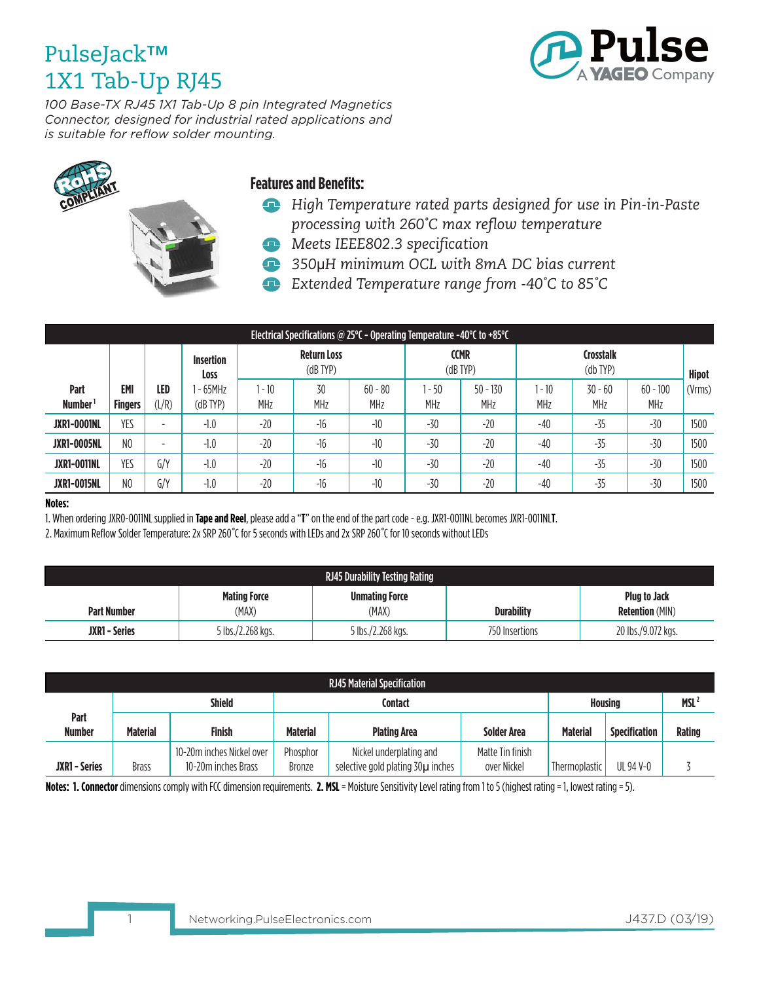

*100 Base-TX RJ45 1X1 Tab-Up 8 pin Integrated Magnetics Connector, designed for industrial rated applications and is suitable for reflow solder mounting.* 





### **Features and Benefits:**

- *High Temperature rated parts designed for use in Pin-in-Paste processing with 260�C max reflow temperature*
- *Meets IEEE802.3 specification*
- *350*μ*H minimum OCL with 8mA DC bias current*
- *Extended Temperature range from -40�C to 85�C*

| Electrical Specifications @ 25 $\degree$ C - Operating Temperature -40 $\degree$ C to +85 $\degree$ C |                              |                          |                            |                                     |                  |                  |                              |                          |                                   |                         |                          |              |
|-------------------------------------------------------------------------------------------------------|------------------------------|--------------------------|----------------------------|-------------------------------------|------------------|------------------|------------------------------|--------------------------|-----------------------------------|-------------------------|--------------------------|--------------|
|                                                                                                       |                              |                          | <b>Insertion</b><br>Loss   | <b>Return Loss</b><br>$(dB$ TYP $)$ |                  |                  | <b>CCMR</b><br>$(dB$ TYP $)$ |                          | <b>Crosstalk</b><br>$(db$ TYP $)$ |                         |                          | <b>Hipot</b> |
| Part<br><b>Number</b>                                                                                 | <b>EMI</b><br><b>Fingers</b> | LED<br>(L/R)             | 1 - 65MHz<br>$(dB$ TYP $)$ | $-10$<br>MHz                        | 30<br><b>MHz</b> | $60 - 80$<br>MHz | $-50$<br><b>MHz</b>          | $50 - 130$<br><b>MHz</b> | l - 10<br>MHz                     | $30 - 60$<br><b>MHz</b> | $60 - 100$<br><b>MHz</b> | (Vrms)       |
| <b>JXR1-0001NL</b>                                                                                    | YES                          | $\overline{\phantom{a}}$ | $-1.0$                     | $-20$                               | $-16$            | $-10$            | $-30$                        | $-20$                    | $-40$                             | -35                     | $-30$                    | 1500         |
| <b>JXR1-0005NL</b>                                                                                    | N <sub>0</sub>               | $\sim$                   | $-1.0$                     | $-20$                               | $-16$            | $-10$            | $-30$                        | $-20$                    | $-40$                             | -35                     | $-30$                    | 1500         |
| <b>JXR1-0011NL</b>                                                                                    | YES                          | G/Y                      | $-1.0$                     | $-20$                               | $-16$            | $-10$            | $-30$                        | $-20$                    | $-40$                             | -35                     | $-30$                    | 1500         |
| <b>JXR1-0015NL</b>                                                                                    | N <sub>0</sub>               | G/Y                      | $-1.0$                     | $-20$                               | $-16$            | $-10$            | $-30$                        | $-20$                    | $-40$                             | -35                     | -30                      | 1500         |

#### **Notes:**

1. When ordering JXR0-0011NL supplied in **Tape and Reel**, please add a "**T**" on the end of the part code - e.g. JXR1-0011NL becomes JXR1-0011NL**T**.

2. Maximum Reflow Solder Temperature: 2x SRP 260*�*C for 5 seconds with LEDs and 2x SRP 260*�*C for 10 seconds without LEDs

| <b>RJ45 Durability Testing Rating</b> |                              |                                |                   |                                               |  |  |  |
|---------------------------------------|------------------------------|--------------------------------|-------------------|-----------------------------------------------|--|--|--|
| <b>Part Number</b>                    | <b>Mating Force</b><br>(MAX) | <b>Unmating Force</b><br>(MAX) | <b>Durability</b> | <b>Plug to Jack</b><br><b>Retention</b> (MIN) |  |  |  |
| <b>JXR1 - Series</b>                  | 5 lbs./2.268 kgs.            | 5 lbs./2.268 kgs.              | 750 Insertions    | 20 lbs./9.072 kgs.                            |  |  |  |

| <b>RJ45 Material Specification</b> |                 |                           |                 |                                   |                    |                 |                      |               |
|------------------------------------|-----------------|---------------------------|-----------------|-----------------------------------|--------------------|-----------------|----------------------|---------------|
|                                    | <b>Shield</b>   |                           |                 | Contact                           | <b>Housing</b>     |                 | MSL <sup>2</sup>     |               |
| Part                               |                 |                           |                 |                                   |                    |                 |                      |               |
| <b>Number</b>                      | <b>Material</b> | Finish                    | <b>Material</b> | <b>Plating Area</b>               | <b>Solder Area</b> | <b>Material</b> | <b>Specification</b> | <b>Rating</b> |
|                                    |                 | 10-20m inches Nickel over | Phosphor        | Nickel underplating and           | Matte Tin finish   |                 |                      |               |
| <b>JXR1 - Series</b>               | <b>Brass</b>    | 10-20m inches Brass       | <b>Bronze</b>   | selective gold plating 30µ inches | over Nickel        | Thermoplastic   | UL 94 V-0            |               |

**Notes: 1. Connector** dimensions comply with FCC dimension requirements. **2. MSL** = Moisture Sensitivity Level rating from 1 to 5 (highest rating = 1, lowest rating = 5).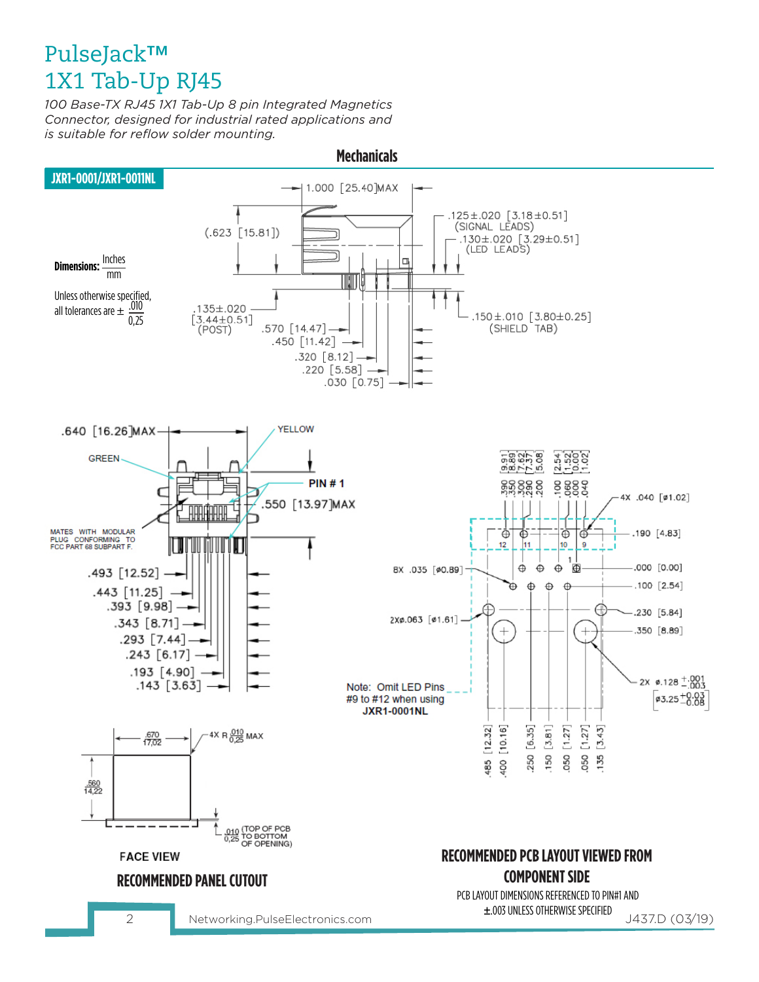*100 Base-TX RJ45 1X1 Tab-Up 8 pin Integrated Magnetics Connector, designed for industrial rated applications and is suitable for reflow solder mounting.* 



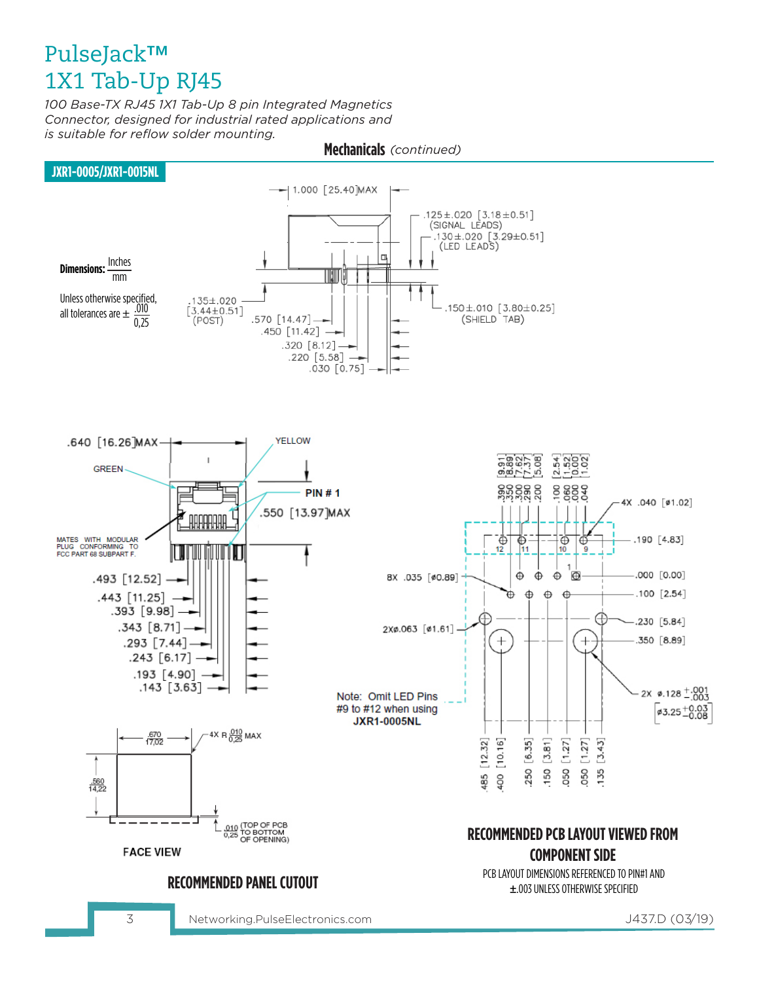*100 Base-TX RJ45 1X1 Tab-Up 8 pin Integrated Magnetics Connector, designed for industrial rated applications and is suitable for reflow solder mounting.* 



3 J437.D (03/19) Networking.PulseElectronics.com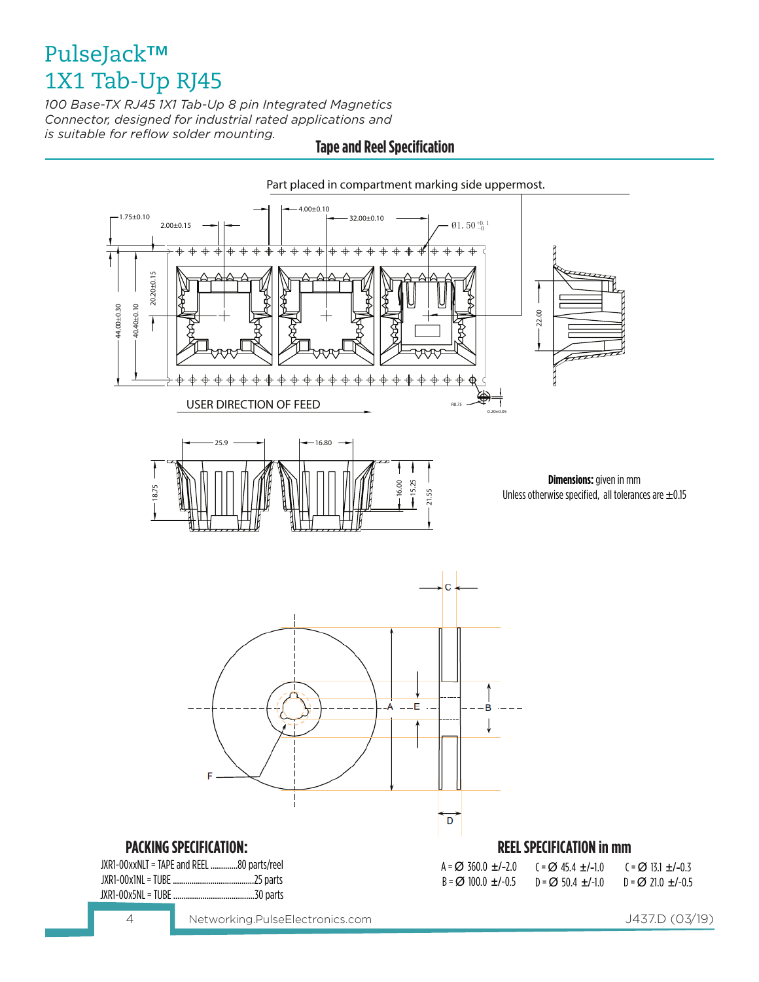*100 Base-TX RJ45 1X1 Tab-Up 8 pin Integrated Magnetics Connector, designed for industrial rated applications and is suitable for reflow solder mounting.* 

### **Tape and Reel Specification**